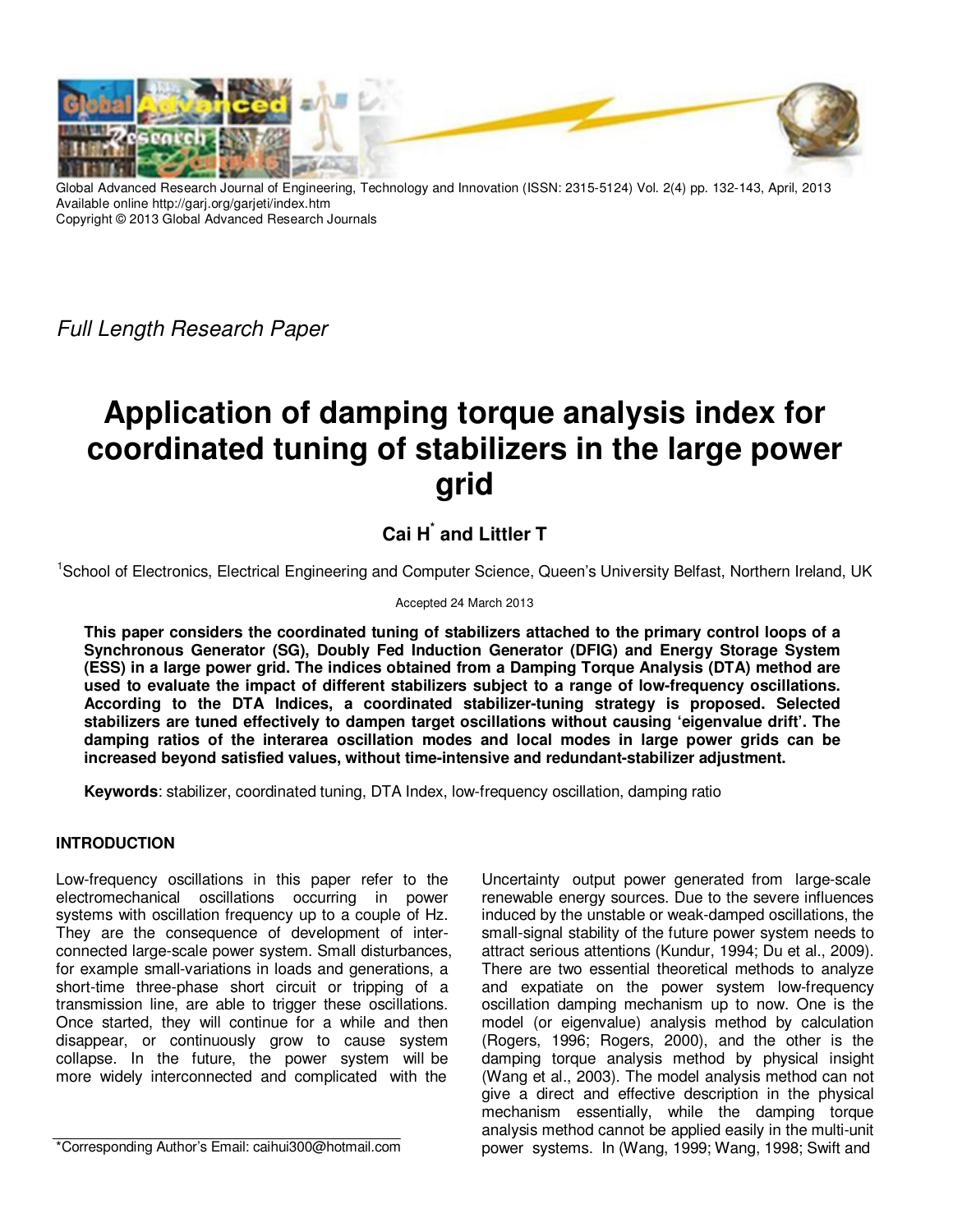

Global Advanced Research Journal of Engineering, Technology and Innovation (ISSN: 2315-5124) Vol. 2(4) pp. 132-143, April, 2013 Available online http://garj.org/garjeti/index.htm Copyright © 2013 Global Advanced Research Journals

Full Length Research Paper

# **Application of damping torque analysis index for coordinated tuning of stabilizers in the large power grid**

# **Cai H\* and Littler T**

<sup>1</sup>School of Electronics, Electrical Engineering and Computer Science, Queen's University Belfast, Northern Ireland, UK

#### Accepted 24 March 2013

**This paper considers the coordinated tuning of stabilizers attached to the primary control loops of a Synchronous Generator (SG), Doubly Fed Induction Generator (DFIG) and Energy Storage System (ESS) in a large power grid. The indices obtained from a Damping Torque Analysis (DTA) method are used to evaluate the impact of different stabilizers subject to a range of low-frequency oscillations. According to the DTA Indices, a coordinated stabilizer-tuning strategy is proposed. Selected stabilizers are tuned effectively to dampen target oscillations without causing 'eigenvalue drift'. The damping ratios of the interarea oscillation modes and local modes in large power grids can be increased beyond satisfied values, without time-intensive and redundant-stabilizer adjustment.** 

**Keywords**: stabilizer, coordinated tuning, DTA Index, low-frequency oscillation, damping ratio

# **INTRODUCTION**

Low-frequency oscillations in this paper refer to the electromechanical oscillations occurring in power systems with oscillation frequency up to a couple of Hz. They are the consequence of development of interconnected large-scale power system. Small disturbances, for example small-variations in loads and generations, a short-time three-phase short circuit or tripping of a transmission line, are able to trigger these oscillations. Once started, they will continue for a while and then disappear, or continuously grow to cause system collapse. In the future, the power system will be more widely interconnected and complicated with the

\*Corresponding Author's Email: caihui300@hotmail.com

Uncertainty output power generated from large-scale renewable energy sources. Due to the severe influences induced by the unstable or weak-damped oscillations, the small-signal stability of the future power system needs to attract serious attentions (Kundur, 1994; Du et al., 2009). There are two essential theoretical methods to analyze and expatiate on the power system low-frequency oscillation damping mechanism up to now. One is the model (or eigenvalue) analysis method by calculation (Rogers, 1996; Rogers, 2000), and the other is the damping torque analysis method by physical insight (Wang et al., 2003). The model analysis method can not give a direct and effective description in the physical mechanism essentially, while the damping torque analysis method cannot be applied easily in the multi-unit power systems. In (Wang, 1999; Wang, 1998; Swift and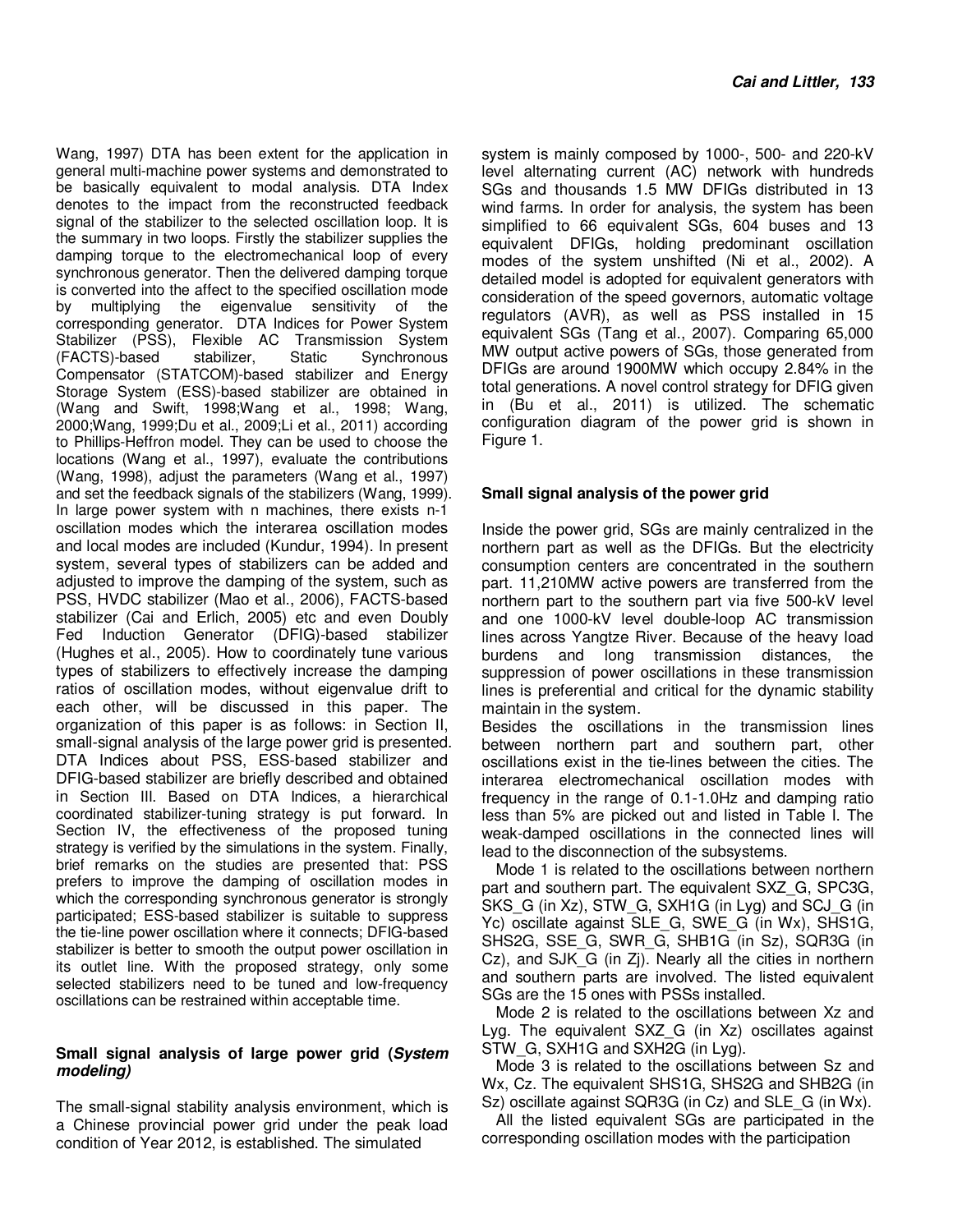Wang, 1997) DTA has been extent for the application in general multi-machine power systems and demonstrated to be basically equivalent to modal analysis. DTA Index denotes to the impact from the reconstructed feedback signal of the stabilizer to the selected oscillation loop. It is the summary in two loops. Firstly the stabilizer supplies the damping torque to the electromechanical loop of every synchronous generator. Then the delivered damping torque is converted into the affect to the specified oscillation mode by multiplying the eigenvalue sensitivity of the corresponding generator. DTA Indices for Power System Stabilizer (PSS), Flexible AC Transmission System (FACTS)-based stabilizer, Static Synchronous Compensator (STATCOM)-based stabilizer and Energy Storage System (ESS)-based stabilizer are obtained in (Wang and Swift, 1998;Wang et al., 1998; Wang, 2000;Wang, 1999;Du et al., 2009;Li et al., 2011) according to Phillips-Heffron model. They can be used to choose the locations (Wang et al., 1997), evaluate the contributions (Wang, 1998), adjust the parameters (Wang et al., 1997) and set the feedback signals of the stabilizers (Wang, 1999). In large power system with n machines, there exists n-1 oscillation modes which the interarea oscillation modes and local modes are included (Kundur, 1994). In present system, several types of stabilizers can be added and adjusted to improve the damping of the system, such as PSS, HVDC stabilizer (Mao et al., 2006), FACTS-based stabilizer (Cai and Erlich, 2005) etc and even Doubly Fed Induction Generator (DFIG)-based stabilizer (Hughes et al., 2005). How to coordinately tune various types of stabilizers to effectively increase the damping ratios of oscillation modes, without eigenvalue drift to each other, will be discussed in this paper. The organization of this paper is as follows: in Section II, small-signal analysis of the large power grid is presented. DTA Indices about PSS, ESS-based stabilizer and DFIG-based stabilizer are briefly described and obtained in Section III. Based on DTA Indices, a hierarchical coordinated stabilizer-tuning strategy is put forward. In Section IV, the effectiveness of the proposed tuning strategy is verified by the simulations in the system. Finally, brief remarks on the studies are presented that: PSS prefers to improve the damping of oscillation modes in which the corresponding synchronous generator is strongly participated; ESS-based stabilizer is suitable to suppress the tie-line power oscillation where it connects; DFIG-based stabilizer is better to smooth the output power oscillation in its outlet line. With the proposed strategy, only some selected stabilizers need to be tuned and low-frequency oscillations can be restrained within acceptable time.

#### **Small signal analysis of large power grid (System modeling)**

The small-signal stability analysis environment, which is a Chinese provincial power grid under the peak load condition of Year 2012, is established. The simulated

system is mainly composed by 1000-, 500- and 220-kV level alternating current (AC) network with hundreds SGs and thousands 1.5 MW DFIGs distributed in 13 wind farms. In order for analysis, the system has been simplified to 66 equivalent SGs, 604 buses and 13 equivalent DFIGs, holding predominant oscillation modes of the system unshifted (Ni et al., 2002). A detailed model is adopted for equivalent generators with consideration of the speed governors, automatic voltage regulators (AVR), as well as PSS installed in 15 equivalent SGs (Tang et al., 2007). Comparing 65,000 MW output active powers of SGs, those generated from DFIGs are around 1900MW which occupy 2.84% in the total generations. A novel control strategy for DFIG given in (Bu et al., 2011) is utilized. The schematic configuration diagram of the power grid is shown in Figure 1.

#### **Small signal analysis of the power grid**

Inside the power grid, SGs are mainly centralized in the northern part as well as the DFIGs. But the electricity consumption centers are concentrated in the southern part. 11,210MW active powers are transferred from the northern part to the southern part via five 500-kV level and one 1000-kV level double-loop AC transmission lines across Yangtze River. Because of the heavy load burdens and long transmission distances, the suppression of power oscillations in these transmission lines is preferential and critical for the dynamic stability maintain in the system.

Besides the oscillations in the transmission lines between northern part and southern part, other oscillations exist in the tie-lines between the cities. The interarea electromechanical oscillation modes with frequency in the range of 0.1-1.0Hz and damping ratio less than 5% are picked out and listed in Table I. The weak-damped oscillations in the connected lines will lead to the disconnection of the subsystems.

Mode 1 is related to the oscillations between northern part and southern part. The equivalent SXZ\_G, SPC3G, SKS G (in Xz), STW G, SXH1G (in Lyg) and SCJ G (in Yc) oscillate against SLE\_G, SWE\_G (in Wx), SHS1G, SHS2G, SSE\_G, SWR\_G, SHB1G (in Sz), SQR3G (in  $Cz$ ), and SJK G (in Zj). Nearly all the cities in northern and southern parts are involved. The listed equivalent SGs are the 15 ones with PSSs installed.

Mode 2 is related to the oscillations between Xz and Lyg. The equivalent SXZ\_G (in Xz) oscillates against STW G, SXH1G and SXH2G (in Lyg).

Mode 3 is related to the oscillations between Sz and Wx, Cz. The equivalent SHS1G, SHS2G and SHB2G (in Sz) oscillate against SQR3G (in Cz) and SLE\_G (in Wx).

All the listed equivalent SGs are participated in the corresponding oscillation modes with the participation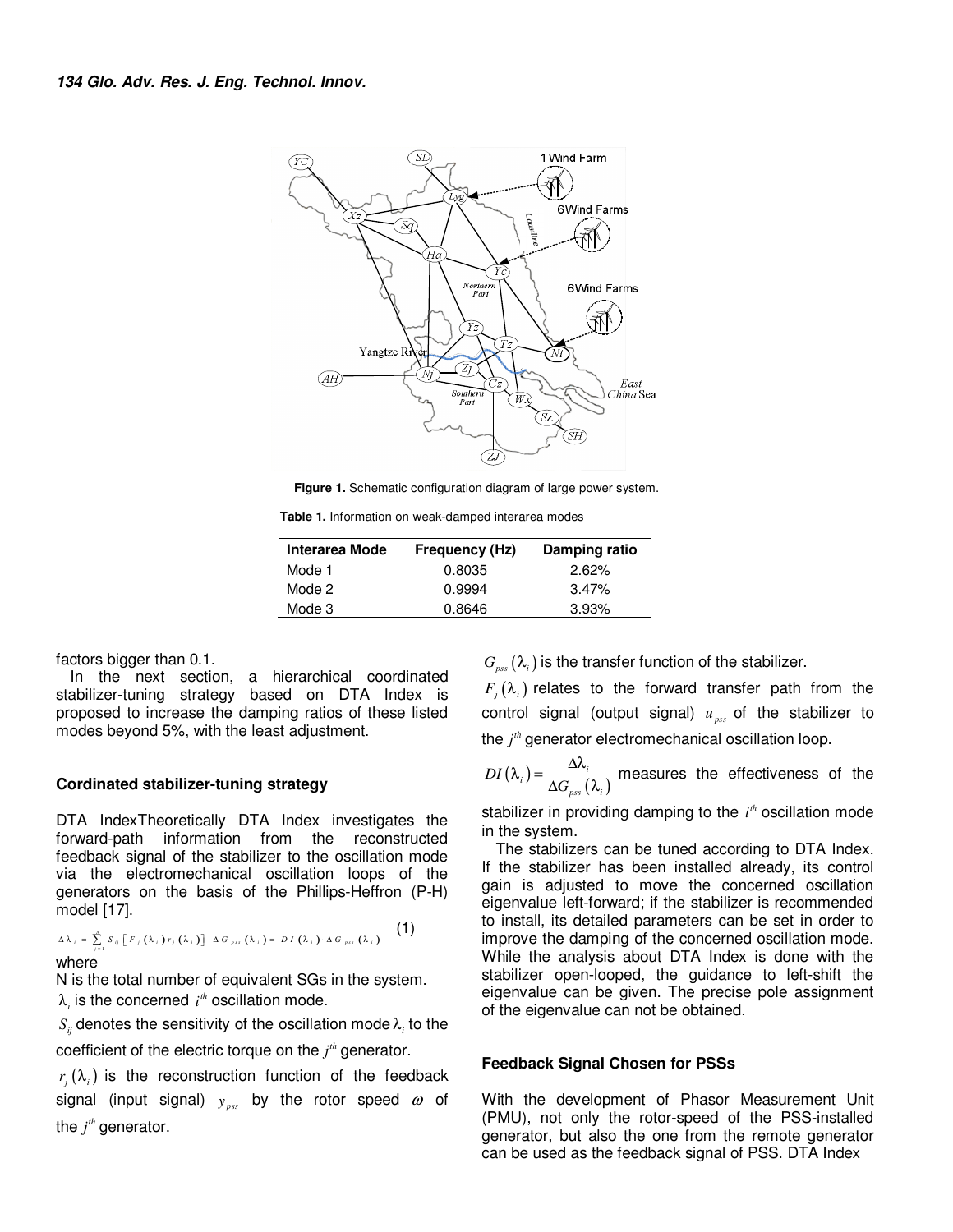

**Figure 1.** Schematic configuration diagram of large power system.

**Table 1.** Information on weak-damped interarea modes

| Interarea Mode | Frequency (Hz) | Damping ratio |
|----------------|----------------|---------------|
| Mode 1         | 0.8035         | 2.62%         |
| Mode 2         | 0.9994         | 3.47%         |
| Mode 3         | 0.8646         | 3.93%         |

factors bigger than 0.1.

In the next section, a hierarchical coordinated stabilizer-tuning strategy based on DTA Index is proposed to increase the damping ratios of these listed modes beyond 5%, with the least adjustment.

#### **Cordinated stabilizer-tuning strategy**

DTA IndexTheoretically DTA Index investigates the forward-path information from the reconstructed feedback signal of the stabilizer to the oscillation mode via the electromechanical oscillation loops of the generators on the basis of the Phillips-Heffron (P-H) model [17].

$$
\Delta \lambda_i = \sum_{j=1}^N S_{ij} \left[ F_j(\lambda_i) r_j(\lambda_i) \right] \cdot \Delta G_{\mu i}(\lambda_i) = DI(\lambda_i) \cdot \Delta G_{\mu i}(\lambda_i)
$$
 (1)

where

N is the total number of equivalent SGs in the system.  $\lambda_i$  is the concerned  $i^{\textit{th}}$  oscillation mode.

 $S_{ij}$  denotes the sensitivity of the oscillation mode  $\lambda_i$  to the coefficient of the electric torque on the  $j<sup>th</sup>$  generator.

 $r_i(\lambda_i)$  is the reconstruction function of the feedback signal (input signal)  $y_{\rm \scriptscriptstyle pss}$  by the rotor speed  $\omega$  of the  $j<sup>th</sup>$  generator.

 $G_{pss}(\lambda_i)$  is the transfer function of the stabilizer.

 $F_i(\lambda_i)$  relates to the forward transfer path from the control signal (output signal) *upss* of the stabilizer to the *j<sup>th</sup>* generator electromechanical oscillation loop.

$$
DI(\lambda_i) = \frac{\Delta \lambda_i}{\Delta G_{\text{pss}}(\lambda_i)}
$$
 measures the effectiveness of the

stabilizer in providing damping to the  $i<sup>n</sup>$  oscillation mode in the system.

The stabilizers can be tuned according to DTA Index. If the stabilizer has been installed already, its control gain is adjusted to move the concerned oscillation eigenvalue left-forward; if the stabilizer is recommended to install, its detailed parameters can be set in order to improve the damping of the concerned oscillation mode. While the analysis about DTA Index is done with the stabilizer open-looped, the guidance to left-shift the eigenvalue can be given. The precise pole assignment of the eigenvalue can not be obtained.

#### **Feedback Signal Chosen for PSSs**

With the development of Phasor Measurement Unit (PMU), not only the rotor-speed of the PSS-installed generator, but also the one from the remote generator can be used as the feedback signal of PSS. DTA Index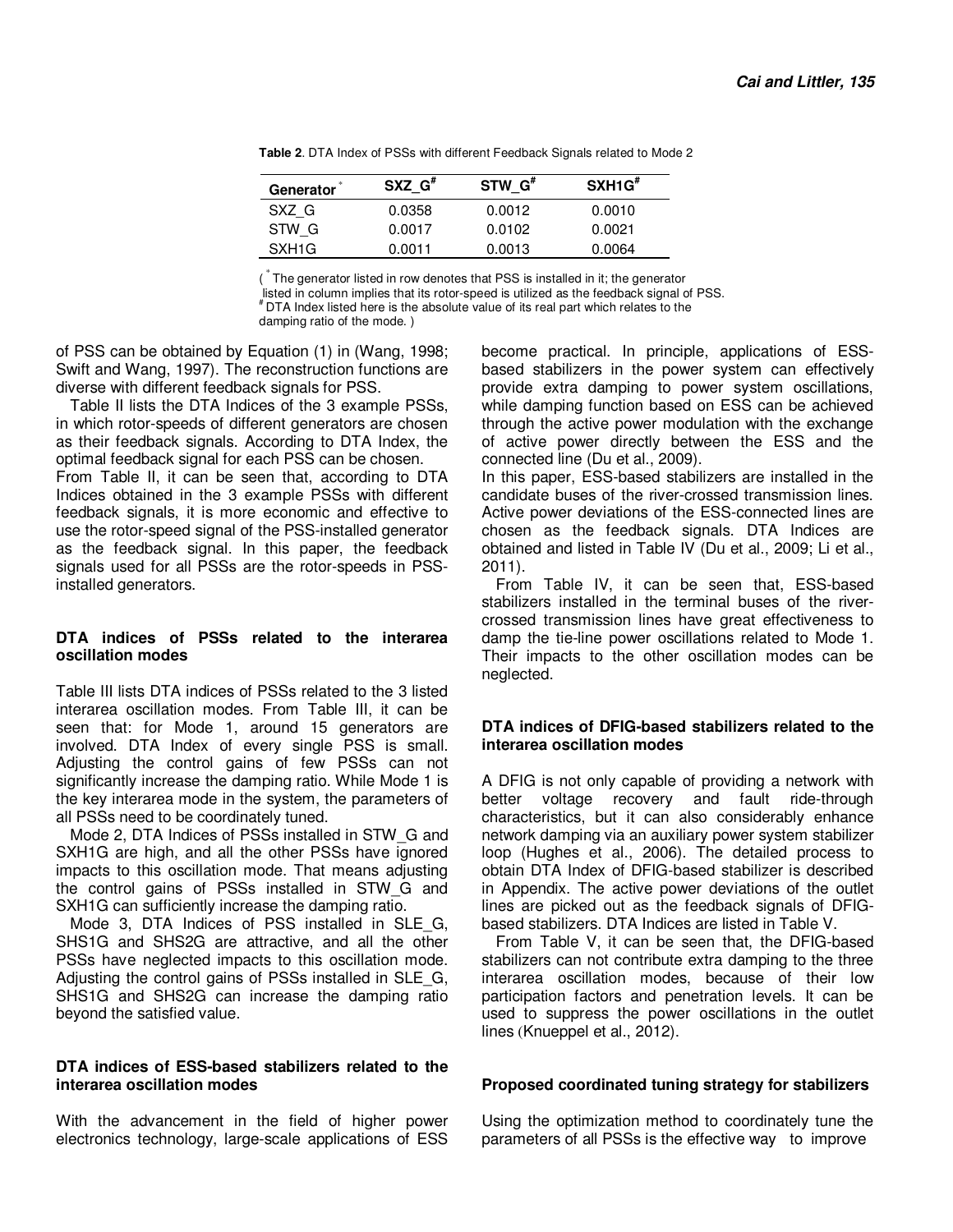| Generator         | $SXZ$ $G^*$ | $STW$ $G*$ | SXH1G'' |
|-------------------|-------------|------------|---------|
| SXZ G             | 0.0358      | 0.0012     | 0.0010  |
| STW G             | 0.0017      | 0.0102     | 0.0021  |
| SXH <sub>1G</sub> | 0.0011      | 0.0013     | 0.0064  |

**Table 2**. DTA Index of PSSs with different Feedback Signals related to Mode 2

( \* The generator listed in row denotes that PSS is installed in it; the generator listed in column implies that its rotor-speed is utilized as the feedback signal of PSS. # DTA Index listed here is the absolute value of its real part which relates to the damping ratio of the mode. )

of PSS can be obtained by Equation (1) in (Wang, 1998; Swift and Wang, 1997). The reconstruction functions are

diverse with different feedback signals for PSS. Table II lists the DTA Indices of the 3 example PSSs, in which rotor-speeds of different generators are chosen as their feedback signals. According to DTA Index, the optimal feedback signal for each PSS can be chosen. From Table II, it can be seen that, according to DTA Indices obtained in the 3 example PSSs with different feedback signals, it is more economic and effective to use the rotor-speed signal of the PSS-installed generator as the feedback signal. In this paper, the feedback signals used for all PSSs are the rotor-speeds in PSSinstalled generators.

# **DTA indices of PSSs related to the interarea oscillation modes**

Table III lists DTA indices of PSSs related to the 3 listed interarea oscillation modes. From Table III, it can be seen that: for Mode 1, around 15 generators are involved. DTA Index of every single PSS is small. Adjusting the control gains of few PSSs can not significantly increase the damping ratio. While Mode 1 is the key interarea mode in the system, the parameters of all PSSs need to be coordinately tuned.

Mode 2, DTA Indices of PSSs installed in STW\_G and SXH1G are high, and all the other PSSs have ignored impacts to this oscillation mode. That means adjusting the control gains of PSSs installed in STW\_G and SXH1G can sufficiently increase the damping ratio.

Mode 3, DTA Indices of PSS installed in SLE\_G, SHS1G and SHS2G are attractive, and all the other PSSs have neglected impacts to this oscillation mode. Adjusting the control gains of PSSs installed in SLE\_G, SHS1G and SHS2G can increase the damping ratio beyond the satisfied value.

# **DTA indices of ESS-based stabilizers related to the interarea oscillation modes**

With the advancement in the field of higher power electronics technology, large-scale applications of ESS become practical. In principle, applications of ESSbased stabilizers in the power system can effectively provide extra damping to power system oscillations, while damping function based on ESS can be achieved through the active power modulation with the exchange of active power directly between the ESS and the connected line (Du et al., 2009).

In this paper, ESS-based stabilizers are installed in the candidate buses of the river-crossed transmission lines. Active power deviations of the ESS-connected lines are chosen as the feedback signals. DTA Indices are obtained and listed in Table IV (Du et al., 2009; Li et al., 2011).

From Table IV, it can be seen that, ESS-based stabilizers installed in the terminal buses of the rivercrossed transmission lines have great effectiveness to damp the tie-line power oscillations related to Mode 1. Their impacts to the other oscillation modes can be neglected.

#### **DTA indices of DFIG-based stabilizers related to the interarea oscillation modes**

A DFIG is not only capable of providing a network with better voltage recovery and fault ride-through characteristics, but it can also considerably enhance network damping via an auxiliary power system stabilizer loop (Hughes et al., 2006). The detailed process to obtain DTA Index of DFIG-based stabilizer is described in Appendix. The active power deviations of the outlet lines are picked out as the feedback signals of DFIGbased stabilizers. DTA Indices are listed in Table V.

From Table V, it can be seen that, the DFIG-based stabilizers can not contribute extra damping to the three interarea oscillation modes, because of their low participation factors and penetration levels. It can be used to suppress the power oscillations in the outlet lines (Knueppel et al., 2012).

# **Proposed coordinated tuning strategy for stabilizers**

Using the optimization method to coordinately tune the parameters of all PSSs is the effective way to improve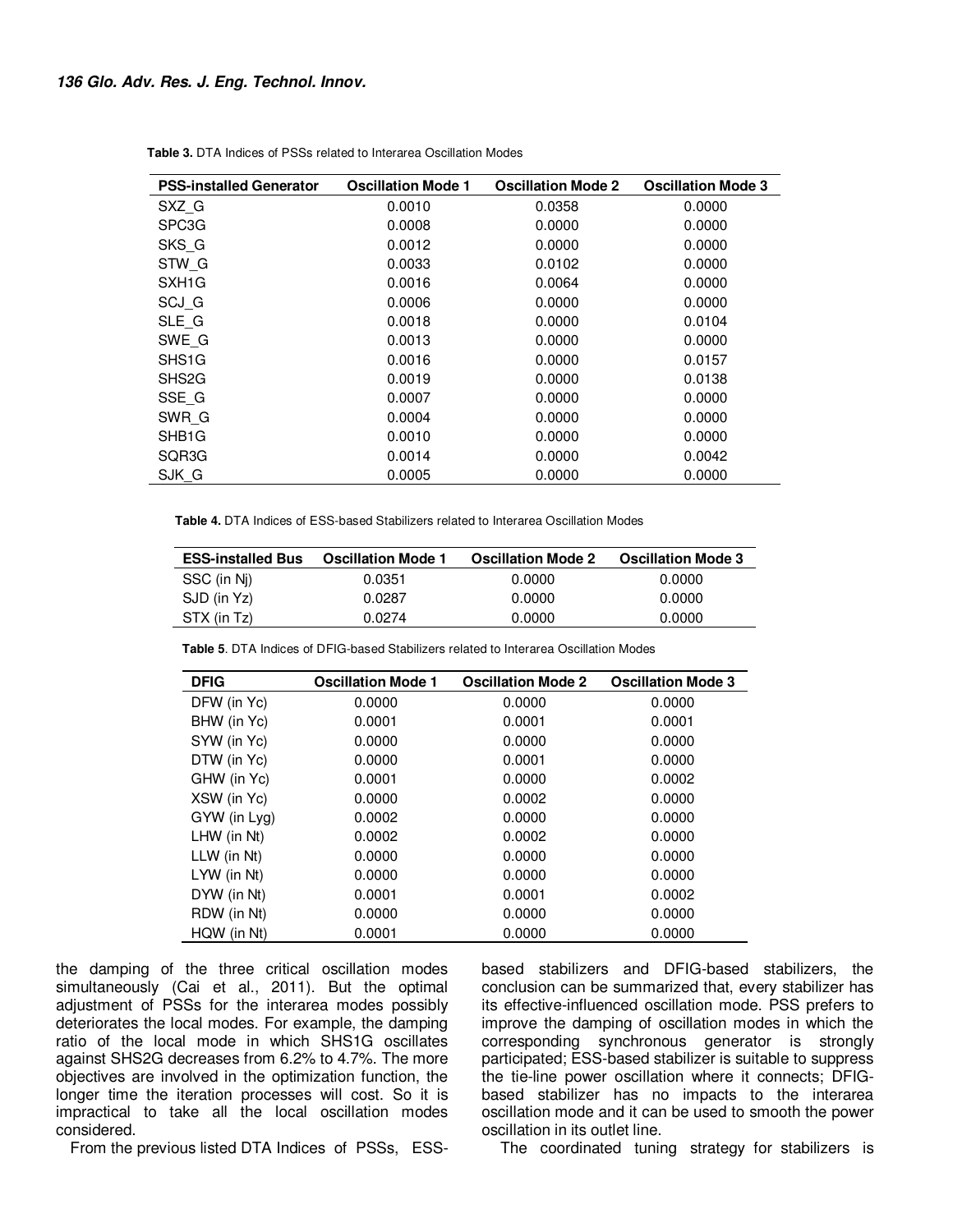#### **136 Glo. Adv. Res. J. Eng. Technol. Innov.**

| <b>PSS-installed Generator</b> | <b>Oscillation Mode 1</b> | <b>Oscillation Mode 2</b> | <b>Oscillation Mode 3</b> |
|--------------------------------|---------------------------|---------------------------|---------------------------|
| SXZ G                          | 0.0010                    | 0.0358                    | 0.0000                    |
| SPC <sub>3</sub> G             | 0.0008                    | 0.0000                    | 0.0000                    |
| SKS G                          | 0.0012                    | 0.0000                    | 0.0000                    |
| STW G                          | 0.0033                    | 0.0102                    | 0.0000                    |
| SXH <sub>1</sub> G             | 0.0016                    | 0.0064                    | 0.0000                    |
| SCJ G                          | 0.0006                    | 0.0000                    | 0.0000                    |
| SLE G                          | 0.0018                    | 0.0000                    | 0.0104                    |
| SWE G                          | 0.0013                    | 0.0000                    | 0.0000                    |
| SHS <sub>1</sub> G             | 0.0016                    | 0.0000                    | 0.0157                    |
| SHS <sub>2</sub> G             | 0.0019                    | 0.0000                    | 0.0138                    |
| SSE G                          | 0.0007                    | 0.0000                    | 0.0000                    |
| SWR G                          | 0.0004                    | 0.0000                    | 0.0000                    |
| SHB <sub>1</sub> G             | 0.0010                    | 0.0000                    | 0.0000                    |
| SQR3G                          | 0.0014                    | 0.0000                    | 0.0042                    |
| SJK G                          | 0.0005                    | 0.0000                    | 0.0000                    |

**Table 3.** DTA Indices of PSSs related to Interarea Oscillation Modes

**Table 4.** DTA Indices of ESS-based Stabilizers related to Interarea Oscillation Modes

| <b>ESS-installed Bus</b> | <b>Oscillation Mode 1</b> | <b>Oscillation Mode 2</b> | <b>Oscillation Mode 3</b> |
|--------------------------|---------------------------|---------------------------|---------------------------|
| SSC (in Ni)              | 0.0351                    | 0.0000                    | 0.0000                    |
| SJD (in Yz)              | 0.0287                    | 0.0000                    | 0.0000                    |
| STX (in Tz)              | 0.0274                    | 0.0000                    | 0.0000                    |

**Table 5**. DTA Indices of DFIG-based Stabilizers related to Interarea Oscillation Modes

| <b>DFIG</b>      | <b>Oscillation Mode 1</b> | <b>Oscillation Mode 2</b> | <b>Oscillation Mode 3</b> |
|------------------|---------------------------|---------------------------|---------------------------|
| DFW (in Yc)      | 0.0000                    | 0.0000                    | 0.0000                    |
| BHW (in Yc)      | 0.0001                    | 0.0001                    | 0.0001                    |
| SYW (in Yc)      | 0.0000                    | 0.0000                    | 0.0000                    |
| DTW (in Yc)      | 0.0000                    | 0.0001                    | 0.0000                    |
| GHW (in Yc)      | 0.0001                    | 0.0000                    | 0.0002                    |
| XSW (in Yc)      | 0.0000                    | 0.0002                    | 0.0000                    |
| GYW (in Lyg)     | 0.0002                    | 0.0000                    | 0.0000                    |
| LHW (in Nt)      | 0.0002                    | 0.0002                    | 0.0000                    |
| $LLW$ (in $Nt$ ) | 0.0000                    | 0.0000                    | 0.0000                    |
| LYW (in Nt)      | 0.0000                    | 0.0000                    | 0.0000                    |
| DYW (in Nt)      | 0.0001                    | 0.0001                    | 0.0002                    |
| RDW (in Nt)      | 0.0000                    | 0.0000                    | 0.0000                    |
| HQW (in Nt)      | 0.0001                    | 0.0000                    | 0.0000                    |

the damping of the three critical oscillation modes simultaneously (Cai et al., 2011). But the optimal adjustment of PSSs for the interarea modes possibly deteriorates the local modes. For example, the damping ratio of the local mode in which SHS1G oscillates against SHS2G decreases from 6.2% to 4.7%. The more objectives are involved in the optimization function, the longer time the iteration processes will cost. So it is impractical to take all the local oscillation modes considered.

From the previous listed DTA Indices of PSSs, ESS-

based stabilizers and DFIG-based stabilizers, the conclusion can be summarized that, every stabilizer has its effective-influenced oscillation mode. PSS prefers to improve the damping of oscillation modes in which the corresponding synchronous generator is strongly participated; ESS-based stabilizer is suitable to suppress the tie-line power oscillation where it connects; DFIGbased stabilizer has no impacts to the interarea oscillation mode and it can be used to smooth the power oscillation in its outlet line.

The coordinated tuning strategy for stabilizers is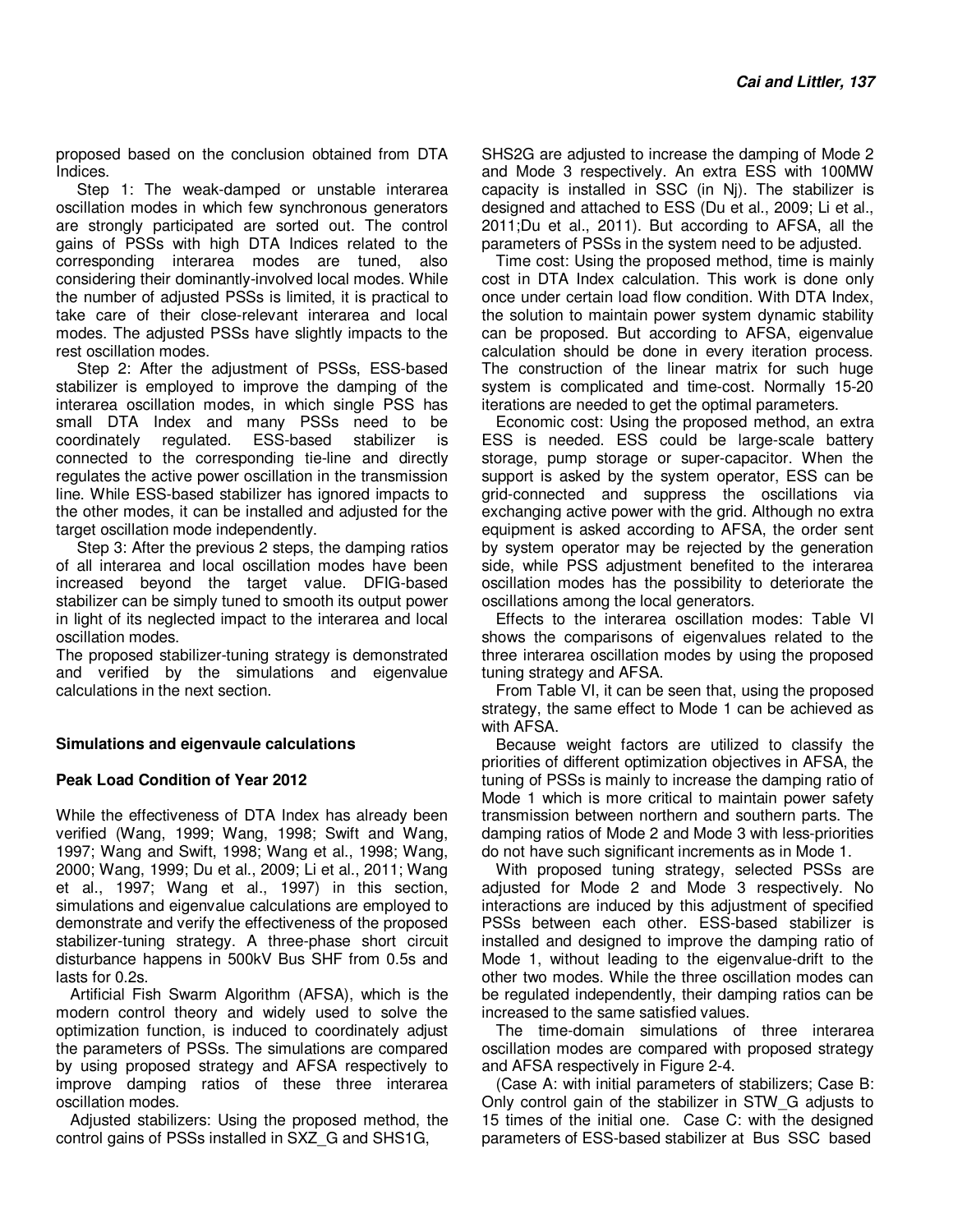proposed based on the conclusion obtained from DTA Indices.

Step 1: The weak-damped or unstable interarea oscillation modes in which few synchronous generators are strongly participated are sorted out. The control gains of PSSs with high DTA Indices related to the corresponding interarea modes are tuned, also considering their dominantly-involved local modes. While the number of adjusted PSSs is limited, it is practical to take care of their close-relevant interarea and local modes. The adjusted PSSs have slightly impacts to the rest oscillation modes.

Step 2: After the adjustment of PSSs, ESS-based stabilizer is employed to improve the damping of the interarea oscillation modes, in which single PSS has small DTA Index and many PSSs need to be coordinately regulated. ESS-based stabilizer is connected to the corresponding tie-line and directly regulates the active power oscillation in the transmission line. While ESS-based stabilizer has ignored impacts to the other modes, it can be installed and adjusted for the target oscillation mode independently.

Step 3: After the previous 2 steps, the damping ratios of all interarea and local oscillation modes have been increased beyond the target value. DFIG-based stabilizer can be simply tuned to smooth its output power in light of its neglected impact to the interarea and local oscillation modes.

The proposed stabilizer-tuning strategy is demonstrated and verified by the simulations and eigenvalue calculations in the next section.

#### **Simulations and eigenvaule calculations**

#### **Peak Load Condition of Year 2012**

While the effectiveness of DTA Index has already been verified (Wang, 1999; Wang, 1998; Swift and Wang, 1997; Wang and Swift, 1998; Wang et al., 1998; Wang, 2000; Wang, 1999; Du et al., 2009; Li et al., 2011; Wang et al., 1997; Wang et al., 1997) in this section, simulations and eigenvalue calculations are employed to demonstrate and verify the effectiveness of the proposed stabilizer-tuning strategy. A three-phase short circuit disturbance happens in 500kV Bus SHF from 0.5s and lasts for 0.2s.

Artificial Fish Swarm Algorithm (AFSA), which is the modern control theory and widely used to solve the optimization function, is induced to coordinately adjust the parameters of PSSs. The simulations are compared by using proposed strategy and AFSA respectively to improve damping ratios of these three interarea oscillation modes.

Adjusted stabilizers: Using the proposed method, the control gains of PSSs installed in SXZ\_G and SHS1G,

SHS2G are adjusted to increase the damping of Mode 2 and Mode 3 respectively. An extra ESS with 100MW capacity is installed in SSC (in Nj). The stabilizer is designed and attached to ESS (Du et al., 2009; Li et al., 2011;Du et al., 2011). But according to AFSA, all the parameters of PSSs in the system need to be adjusted.

Time cost: Using the proposed method, time is mainly cost in DTA Index calculation. This work is done only once under certain load flow condition. With DTA Index, the solution to maintain power system dynamic stability can be proposed. But according to AFSA, eigenvalue calculation should be done in every iteration process. The construction of the linear matrix for such huge system is complicated and time-cost. Normally 15-20 iterations are needed to get the optimal parameters.

Economic cost: Using the proposed method, an extra ESS is needed. ESS could be large-scale battery storage, pump storage or super-capacitor. When the support is asked by the system operator, ESS can be grid-connected and suppress the oscillations via exchanging active power with the grid. Although no extra equipment is asked according to AFSA, the order sent by system operator may be rejected by the generation side, while PSS adjustment benefited to the interarea oscillation modes has the possibility to deteriorate the oscillations among the local generators.

Effects to the interarea oscillation modes: Table VI shows the comparisons of eigenvalues related to the three interarea oscillation modes by using the proposed tuning strategy and AFSA.

From Table VI, it can be seen that, using the proposed strategy, the same effect to Mode 1 can be achieved as with AFSA.

Because weight factors are utilized to classify the priorities of different optimization objectives in AFSA, the tuning of PSSs is mainly to increase the damping ratio of Mode 1 which is more critical to maintain power safety transmission between northern and southern parts. The damping ratios of Mode 2 and Mode 3 with less-priorities do not have such significant increments as in Mode 1.

With proposed tuning strategy, selected PSSs are adjusted for Mode 2 and Mode 3 respectively. No interactions are induced by this adjustment of specified PSSs between each other. ESS-based stabilizer is installed and designed to improve the damping ratio of Mode 1, without leading to the eigenvalue-drift to the other two modes. While the three oscillation modes can be regulated independently, their damping ratios can be increased to the same satisfied values.

The time-domain simulations of three interarea oscillation modes are compared with proposed strategy and AFSA respectively in Figure 2-4.

(Case A: with initial parameters of stabilizers; Case B: Only control gain of the stabilizer in STW\_G adjusts to 15 times of the initial one. Case C: with the designed parameters of ESS-based stabilizer at Bus SSC based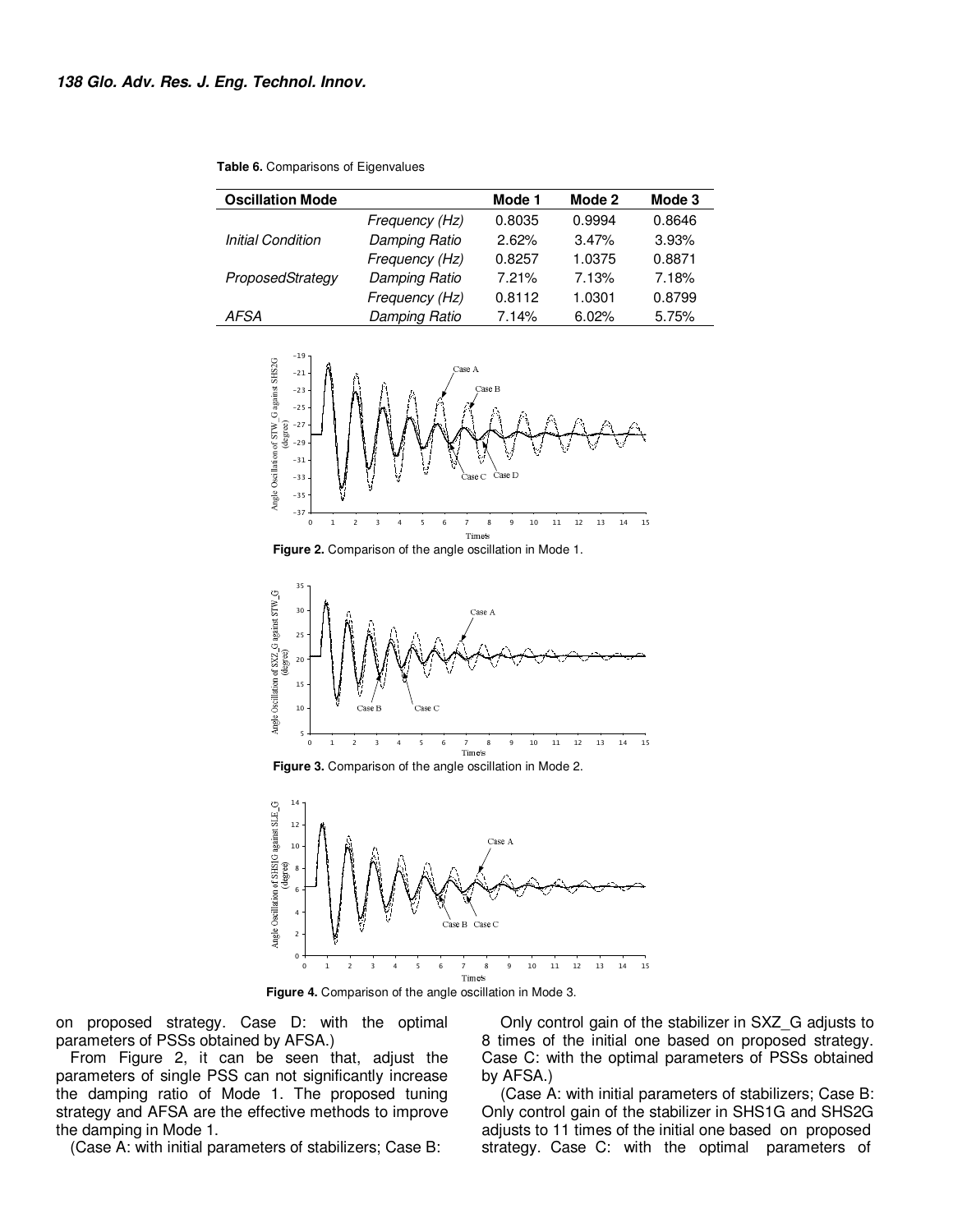| <b>Oscillation Mode</b>  |                | Mode 1 | Mode 2 | Mode 3 |
|--------------------------|----------------|--------|--------|--------|
|                          | Frequency (Hz) | 0.8035 | 0.9994 | 0.8646 |
| <b>Initial Condition</b> | Damping Ratio  | 2.62%  | 3.47%  | 3.93%  |
|                          | Frequency (Hz) | 0.8257 | 1.0375 | 0.8871 |
| ProposedStrategy         | Damping Ratio  | 7.21%  | 7.13%  | 7.18%  |
|                          | Frequency (Hz) | 0.8112 | 1.0301 | 0.8799 |
| <b>AFSA</b>              | Damping Ratio  | 7.14%  | 6.02%  | 5.75%  |

**Table 6.** Comparisons of Eigenvalues







**Figure 3.** Comparison of the angle oscillation in Mode 2.



**Figure 4.** Comparison of the angle oscillation in Mode 3.

on proposed strategy. Case D: with the optimal parameters of PSSs obtained by AFSA.)

From Figure 2, it can be seen that, adjust the parameters of single PSS can not significantly increase the damping ratio of Mode 1. The proposed tuning strategy and AFSA are the effective methods to improve the damping in Mode 1.

(Case A: with initial parameters of stabilizers; Case B:

 Only control gain of the stabilizer in SXZ\_G adjusts to 8 times of the initial one based on proposed strategy. Case C: with the optimal parameters of PSSs obtained by AFSA.)

 (Case A: with initial parameters of stabilizers; Case B: Only control gain of the stabilizer in SHS1G and SHS2G adjusts to 11 times of the initial one based on proposed strategy. Case C: with the optimal parameters of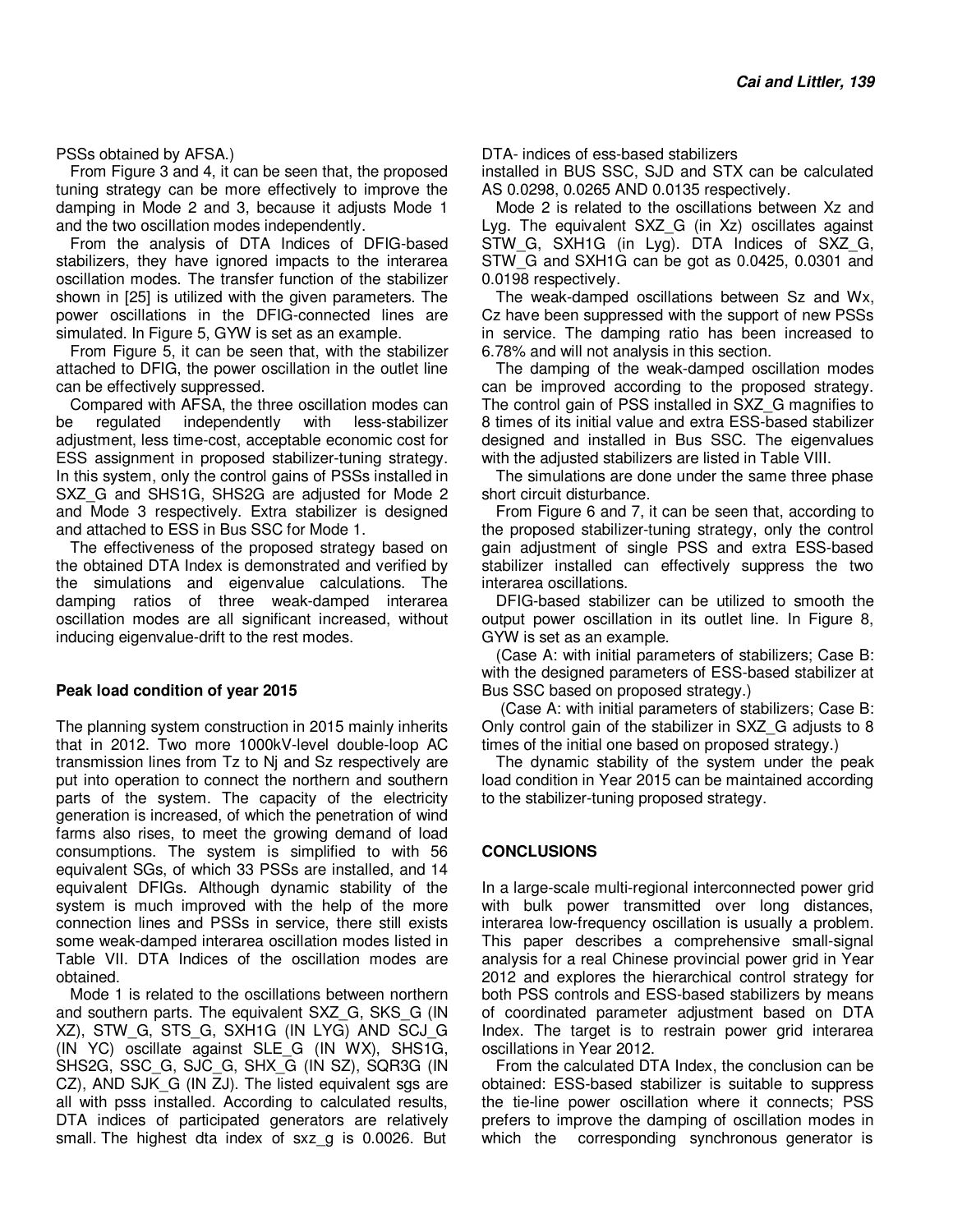PSSs obtained by AFSA.)

From Figure 3 and 4, it can be seen that, the proposed tuning strategy can be more effectively to improve the damping in Mode 2 and 3, because it adjusts Mode 1 and the two oscillation modes independently.

From the analysis of DTA Indices of DFIG-based stabilizers, they have ignored impacts to the interarea oscillation modes. The transfer function of the stabilizer shown in [25] is utilized with the given parameters. The power oscillations in the DFIG-connected lines are simulated. In Figure 5, GYW is set as an example.

From Figure 5, it can be seen that, with the stabilizer attached to DFIG, the power oscillation in the outlet line can be effectively suppressed.

Compared with AFSA, the three oscillation modes can be regulated independently with less-stabilizer adjustment, less time-cost, acceptable economic cost for ESS assignment in proposed stabilizer-tuning strategy. In this system, only the control gains of PSSs installed in SXZ\_G and SHS1G, SHS2G are adjusted for Mode 2 and Mode 3 respectively. Extra stabilizer is designed and attached to ESS in Bus SSC for Mode 1.

The effectiveness of the proposed strategy based on the obtained DTA Index is demonstrated and verified by the simulations and eigenvalue calculations. The damping ratios of three weak-damped interarea oscillation modes are all significant increased, without inducing eigenvalue-drift to the rest modes.

#### **Peak load condition of year 2015**

The planning system construction in 2015 mainly inherits that in 2012. Two more 1000kV-level double-loop AC transmission lines from Tz to Nj and Sz respectively are put into operation to connect the northern and southern parts of the system. The capacity of the electricity generation is increased, of which the penetration of wind farms also rises, to meet the growing demand of load consumptions. The system is simplified to with 56 equivalent SGs, of which 33 PSSs are installed, and 14 equivalent DFIGs. Although dynamic stability of the system is much improved with the help of the more connection lines and PSSs in service, there still exists some weak-damped interarea oscillation modes listed in Table VII. DTA Indices of the oscillation modes are obtained.

Mode 1 is related to the oscillations between northern and southern parts. The equivalent SXZ\_G, SKS\_G (IN XZ), STW\_G, STS\_G, SXH1G (IN LYG) AND SCJ\_G (IN YC) oscillate against SLE\_G (IN WX), SHS1G, SHS2G, SSC\_G, SJC\_G, SHX\_G (IN SZ), SQR3G (IN CZ), AND SJK\_G (IN ZJ). The listed equivalent sgs are all with psss installed. According to calculated results, DTA indices of participated generators are relatively small. The highest dta index of sxz\_g is 0.0026. But DTA- indices of ess-based stabilizers

installed in BUS SSC, SJD and STX can be calculated AS 0.0298, 0.0265 AND 0.0135 respectively.

Mode 2 is related to the oscillations between Xz and Lyg. The equivalent SXZ\_G (in Xz) oscillates against STW G, SXH1G (in Lyg). DTA Indices of SXZ G, STW G and SXH1G can be got as 0.0425, 0.0301 and 0.0198 respectively.

The weak-damped oscillations between Sz and Wx, Cz have been suppressed with the support of new PSSs in service. The damping ratio has been increased to 6.78% and will not analysis in this section.

The damping of the weak-damped oscillation modes can be improved according to the proposed strategy. The control gain of PSS installed in SXZ\_G magnifies to 8 times of its initial value and extra ESS-based stabilizer designed and installed in Bus SSC. The eigenvalues with the adjusted stabilizers are listed in Table VIII.

The simulations are done under the same three phase short circuit disturbance.

From Figure 6 and 7, it can be seen that, according to the proposed stabilizer-tuning strategy, only the control gain adjustment of single PSS and extra ESS-based stabilizer installed can effectively suppress the two interarea oscillations.

DFIG-based stabilizer can be utilized to smooth the output power oscillation in its outlet line. In Figure 8, GYW is set as an example.

(Case A: with initial parameters of stabilizers; Case B: with the designed parameters of ESS-based stabilizer at Bus SSC based on proposed strategy.)

 (Case A: with initial parameters of stabilizers; Case B: Only control gain of the stabilizer in SXZ\_G adjusts to 8 times of the initial one based on proposed strategy.)

The dynamic stability of the system under the peak load condition in Year 2015 can be maintained according to the stabilizer-tuning proposed strategy.

#### **CONCLUSIONS**

In a large-scale multi-regional interconnected power grid with bulk power transmitted over long distances, interarea low-frequency oscillation is usually a problem. This paper describes a comprehensive small-signal analysis for a real Chinese provincial power grid in Year 2012 and explores the hierarchical control strategy for both PSS controls and ESS-based stabilizers by means of coordinated parameter adjustment based on DTA Index. The target is to restrain power grid interarea oscillations in Year 2012.

From the calculated DTA Index, the conclusion can be obtained: ESS-based stabilizer is suitable to suppress the tie-line power oscillation where it connects; PSS prefers to improve the damping of oscillation modes in which the corresponding synchronous generator is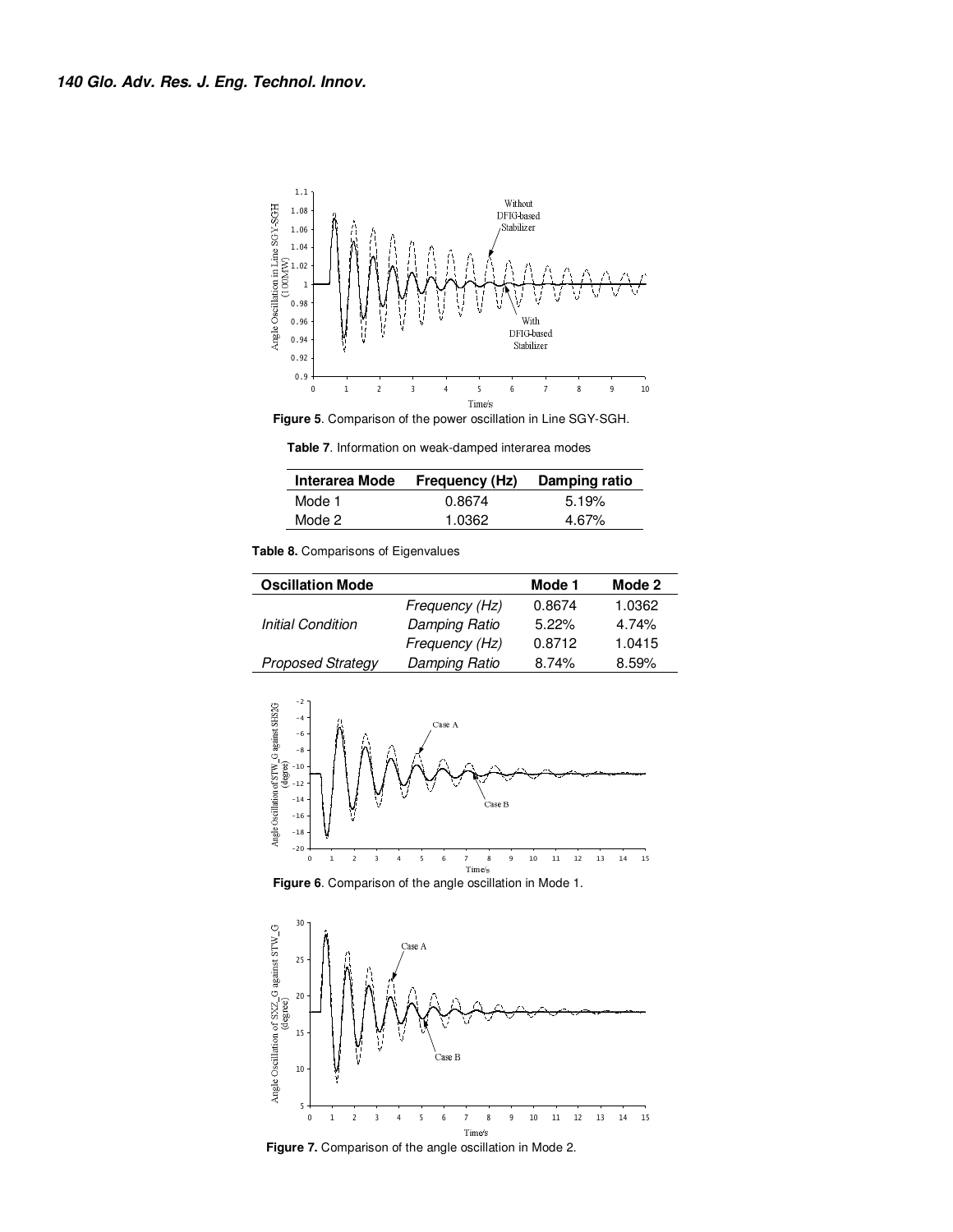

**Figure 5**. Comparison of the power oscillation in Line SGY-SGH.

**Table 7**. Information on weak-damped interarea modes

|        | Interarea Mode Frequency (Hz) | Damping ratio |
|--------|-------------------------------|---------------|
| Mode 1 | 0.8674                        | 5.19%         |
| Mode 2 | 1.0362                        | 4.67%         |

**Table 8.** Comparisons of Eigenvalues

| <b>Oscillation Mode</b>  |                | Mode 1   | Mode 2 |
|--------------------------|----------------|----------|--------|
|                          | Frequency (Hz) | 0.8674   | 1.0362 |
| <b>Initial Condition</b> | Damping Ratio  | $5.22\%$ | 4.74%  |
|                          | Frequency (Hz) | 0.8712   | 1.0415 |
| <b>Proposed Strategy</b> | Damping Ratio  | 8.74%    | 8.59%  |



**Figure 6**. Comparison of the angle oscillation in Mode 1.



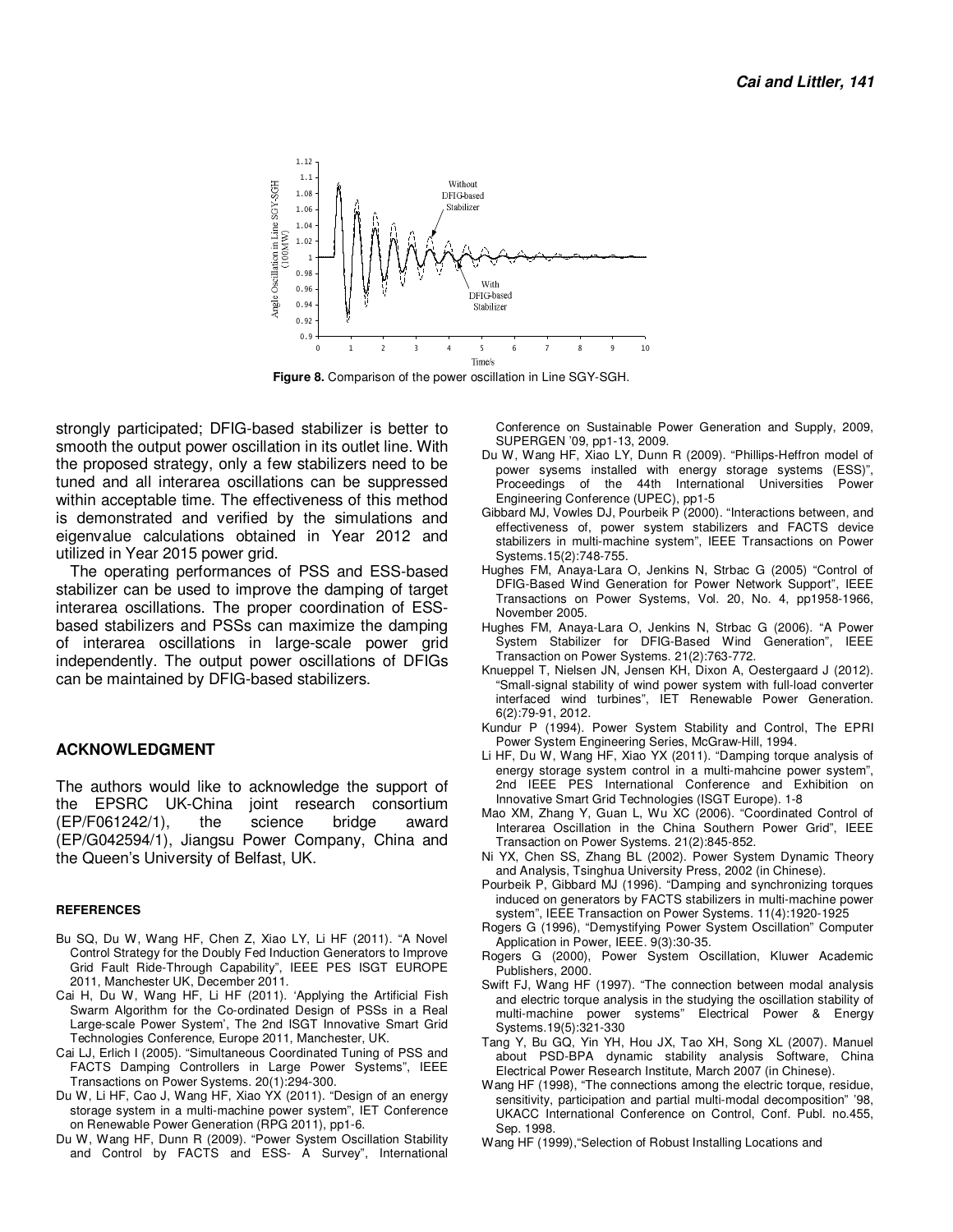

**Figure 8.** Comparison of the power oscillation in Line SGY-SGH.

strongly participated; DFIG-based stabilizer is better to smooth the output power oscillation in its outlet line. With the proposed strategy, only a few stabilizers need to be tuned and all interarea oscillations can be suppressed within acceptable time. The effectiveness of this method is demonstrated and verified by the simulations and eigenvalue calculations obtained in Year 2012 and utilized in Year 2015 power grid.

The operating performances of PSS and ESS-based stabilizer can be used to improve the damping of target interarea oscillations. The proper coordination of ESSbased stabilizers and PSSs can maximize the damping of interarea oscillations in large-scale power grid independently. The output power oscillations of DFIGs can be maintained by DFIG-based stabilizers.

#### **ACKNOWLEDGMENT**

The authors would like to acknowledge the support of the EPSRC UK-China joint research consortium (EP/F061242/1), the science bridge award (EP/G042594/1), Jiangsu Power Company, China and the Queen's University of Belfast, UK.

#### **REFERENCES**

- Bu SQ, Du W, Wang HF, Chen Z, Xiao LY, Li HF (2011). "A Novel Control Strategy for the Doubly Fed Induction Generators to Improve Grid Fault Ride-Through Capability", IEEE PES ISGT EUROPE 2011, Manchester UK, December 2011.
- Cai H, Du W, Wang HF, Li HF (2011). 'Applying the Artificial Fish Swarm Algorithm for the Co-ordinated Design of PSSs in a Real Large-scale Power System', The 2nd ISGT Innovative Smart Grid Technologies Conference, Europe 2011, Manchester, UK.
- Cai LJ, Erlich I (2005). "Simultaneous Coordinated Tuning of PSS and FACTS Damping Controllers in Large Power Systems", IEEE Transactions on Power Systems. 20(1):294-300.
- Du W, Li HF, Cao J, Wang HF, Xiao YX (2011). "Design of an energy storage system in a multi-machine power system", IET Conference on Renewable Power Generation (RPG 2011), pp1-6.
- Du W, Wang HF, Dunn R (2009). "Power System Oscillation Stability and Control by FACTS and ESS- A Survey", International

Conference on Sustainable Power Generation and Supply, 2009, SUPERGEN '09, pp1-13, 2009.

- Du W, Wang HF, Xiao LY, Dunn R (2009). "Phillips-Heffron model of power sysems installed with energy storage systems (ESS)", Proceedings of the 44th International Universities Power Engineering Conference (UPEC), pp1-5
- Gibbard MJ, Vowles DJ, Pourbeik P (2000). "Interactions between, and effectiveness of, power system stabilizers and FACTS device stabilizers in multi-machine system", IEEE Transactions on Power Systems.15(2):748-755.
- Hughes FM, Anaya-Lara O, Jenkins N, Strbac G (2005) "Control of DFIG-Based Wind Generation for Power Network Support", IEEE Transactions on Power Systems, Vol. 20, No. 4, pp1958-1966, November 2005.
- Hughes FM, Anaya-Lara O, Jenkins N, Strbac G (2006). "A Power System Stabilizer for DFIG-Based Wind Generation", IEEE Transaction on Power Systems. 21(2):763-772.
- Knueppel T, Nielsen JN, Jensen KH, Dixon A, Oestergaard J (2012). "Small-signal stability of wind power system with full-load converter interfaced wind turbines", IET Renewable Power Generation. 6(2):79-91, 2012.
- Kundur P (1994). Power System Stability and Control, The EPRI Power System Engineering Series, McGraw-Hill, 1994.
- Li HF, Du W, Wang HF, Xiao YX (2011). "Damping torque analysis of energy storage system control in a multi-mahcine power system", 2nd IEEE PES International Conference and Exhibition on Innovative Smart Grid Technologies (ISGT Europe). 1-8
- Mao XM, Zhang Y, Guan L, Wu XC (2006). "Coordinated Control of Interarea Oscillation in the China Southern Power Grid", IEEE Transaction on Power Systems. 21(2):845-852.
- Ni YX, Chen SS, Zhang BL (2002). Power System Dynamic Theory and Analysis, Tsinghua University Press, 2002 (in Chinese).
- Pourbeik P, Gibbard MJ (1996). "Damping and synchronizing torques induced on generators by FACTS stabilizers in multi-machine power system", IEEE Transaction on Power Systems. 11(4):1920-1925
- Rogers G (1996), "Demystifying Power System Oscillation" Computer Application in Power, IEEE. 9(3):30-35.
- Rogers G (2000), Power System Oscillation, Kluwer Academic Publishers, 2000.
- Swift FJ, Wang HF (1997). "The connection between modal analysis and electric torque analysis in the studying the oscillation stability of multi-machine power systems" Electrical Power & Energy Systems.19(5):321-330
- Tang Y, Bu GQ, Yin YH, Hou JX, Tao XH, Song XL (2007). Manuel about PSD-BPA dynamic stability analysis Software, China Electrical Power Research Institute, March 2007 (in Chinese).
- Wang HF (1998), "The connections among the electric torque, residue, sensitivity, participation and partial multi-modal decomposition" '98, UKACC International Conference on Control, Conf. Publ. no.455, Sep. 1998.
- Wang HF (1999),"Selection of Robust Installing Locations and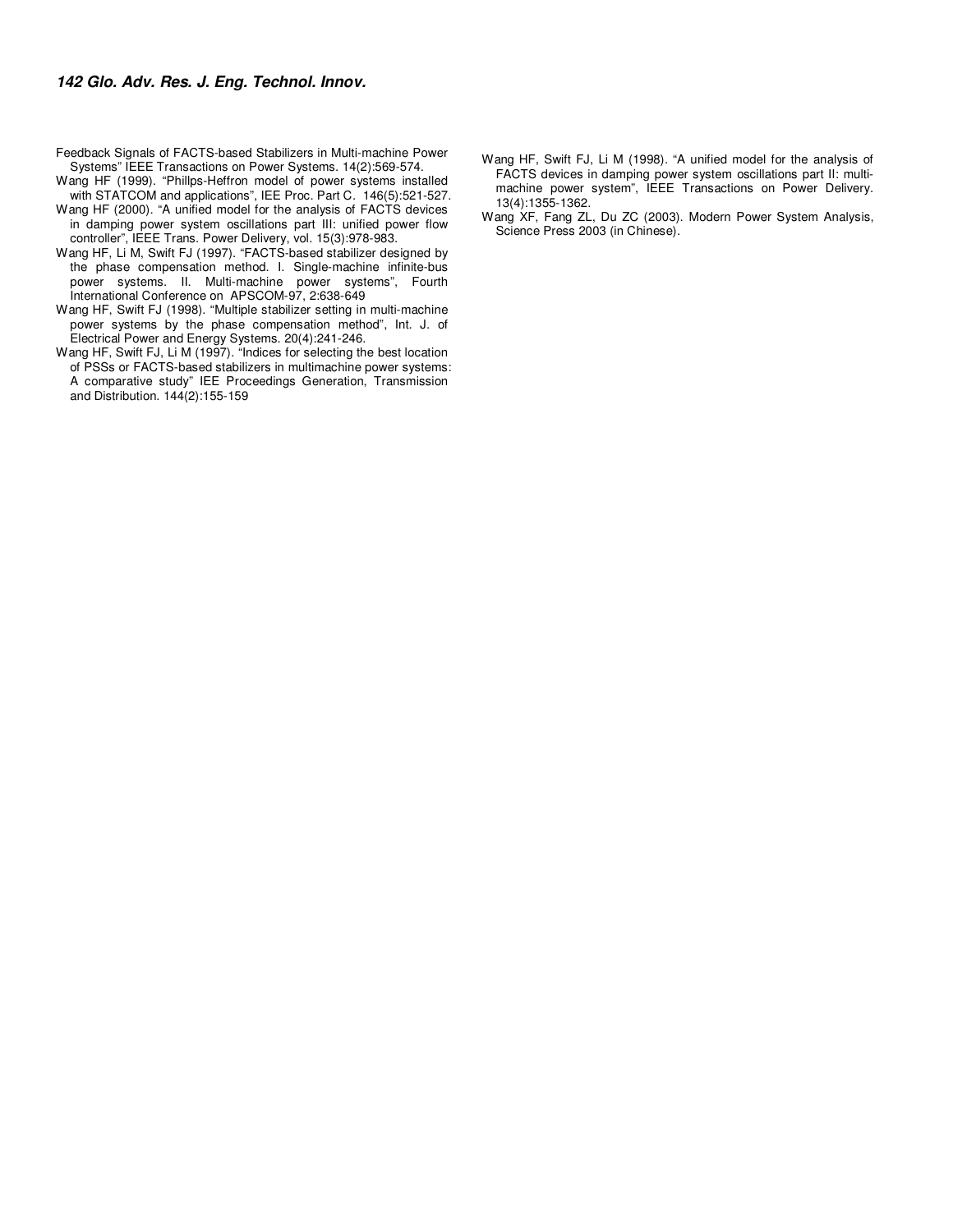Feedback Signals of FACTS-based Stabilizers in Multi-machine Power Systems" IEEE Transactions on Power Systems. 14(2):569-574.

- Wang HF (1999). "Phillps-Heffron model of power systems installed with STATCOM and applications", IEE Proc. Part C. 146(5):521-527.
- Wang HF (2000). "A unified model for the analysis of FACTS devices in damping power system oscillations part III: unified power flow controller", IEEE Trans. Power Delivery, vol. 15(3):978-983.
- Wang HF, Li M, Swift FJ (1997). "FACTS-based stabilizer designed by the phase compensation method. I. Single-machine infinite-bus power systems. II. Multi-machine power systems", Fourth International Conference on APSCOM-97, 2:638-649
- Wang HF, Swift FJ (1998). "Multiple stabilizer setting in multi-machine power systems by the phase compensation method", Int. J. of Electrical Power and Energy Systems. 20(4):241-246.
- Wang HF, Swift FJ, Li M (1997). "Indices for selecting the best location of PSSs or FACTS-based stabilizers in multimachine power systems: A comparative study" IEE Proceedings Generation, Transmission and Distribution. 144(2):155-159
- Wang HF, Swift FJ, Li M (1998). "A unified model for the analysis of FACTS devices in damping power system oscillations part II: multimachine power system", IEEE Transactions on Power Delivery. 13(4):1355-1362.
- Wang XF, Fang ZL, Du ZC (2003). Modern Power System Analysis, Science Press 2003 (in Chinese).